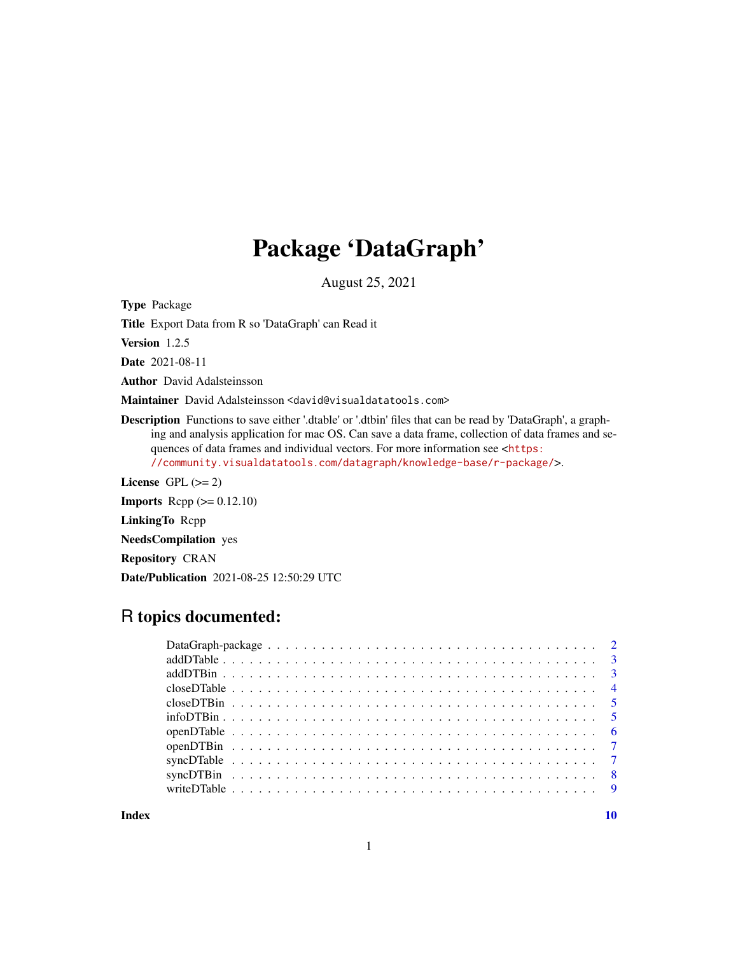## Package 'DataGraph'

August 25, 2021

Type Package

Title Export Data from R so 'DataGraph' can Read it

Version 1.2.5

Date 2021-08-11

Author David Adalsteinsson

Maintainer David Adalsteinsson <david@visualdatatools.com>

Description Functions to save either '.dtable' or '.dtbin' files that can be read by 'DataGraph', a graphing and analysis application for mac OS. Can save a data frame, collection of data frames and sequences of data frames and individual vectors. For more information see <[https:](https://community.visualdatatools.com/datagraph/knowledge-base/r-package/) [//community.visualdatatools.com/datagraph/knowledge-base/r-package/](https://community.visualdatatools.com/datagraph/knowledge-base/r-package/)>.

License GPL  $(>= 2)$ 

**Imports** Rcpp  $(>= 0.12.10)$ 

LinkingTo Rcpp

NeedsCompilation yes

Repository CRAN

Date/Publication 2021-08-25 12:50:29 UTC

## R topics documented:

 $\blacksquare$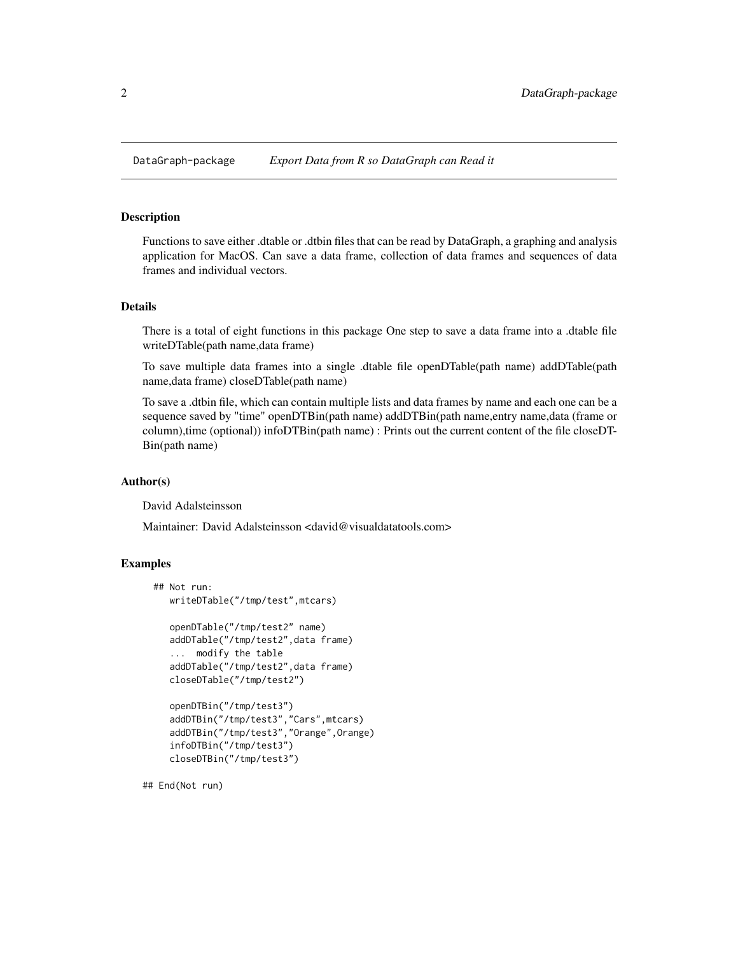<span id="page-1-0"></span>

Functions to save either .dtable or .dtbin files that can be read by DataGraph, a graphing and analysis application for MacOS. Can save a data frame, collection of data frames and sequences of data frames and individual vectors.

#### Details

There is a total of eight functions in this package One step to save a data frame into a .dtable file writeDTable(path name,data frame)

To save multiple data frames into a single .dtable file openDTable(path name) addDTable(path name,data frame) closeDTable(path name)

To save a .dtbin file, which can contain multiple lists and data frames by name and each one can be a sequence saved by "time" openDTBin(path name) addDTBin(path name,entry name,data (frame or column),time (optional)) infoDTBin(path name) : Prints out the current content of the file closeDT-Bin(path name)

#### Author(s)

David Adalsteinsson

Maintainer: David Adalsteinsson <david@visualdatatools.com>

## Examples

```
## Not run:
   writeDTable("/tmp/test",mtcars)
   openDTable("/tmp/test2" name)
   addDTable("/tmp/test2",data frame)
   ... modify the table
   addDTable("/tmp/test2",data frame)
   closeDTable("/tmp/test2")
   openDTBin("/tmp/test3")
   addDTBin("/tmp/test3","Cars",mtcars)
   addDTBin("/tmp/test3","Orange",Orange)
   infoDTBin("/tmp/test3")
   closeDTBin("/tmp/test3")
```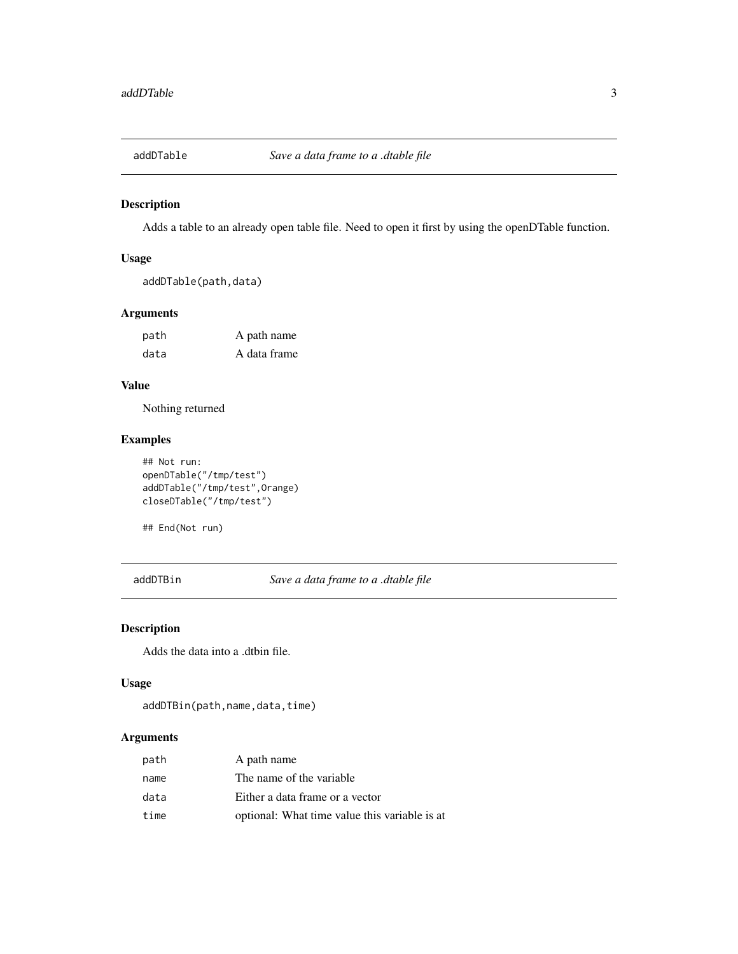<span id="page-2-0"></span>

Adds a table to an already open table file. Need to open it first by using the openDTable function.

## Usage

addDTable(path,data)

## Arguments

| path | A path name  |
|------|--------------|
| data | A data frame |

## Value

Nothing returned

## Examples

```
## Not run:
openDTable("/tmp/test")
addDTable("/tmp/test",Orange)
closeDTable("/tmp/test")
```
## End(Not run)

addDTBin *Save a data frame to a .dtable file*

## Description

Adds the data into a .dtbin file.

#### Usage

```
addDTBin(path,name,data,time)
```
#### Arguments

| path | A path name                                   |
|------|-----------------------------------------------|
| name | The name of the variable.                     |
| data | Either a data frame or a vector               |
| time | optional: What time value this variable is at |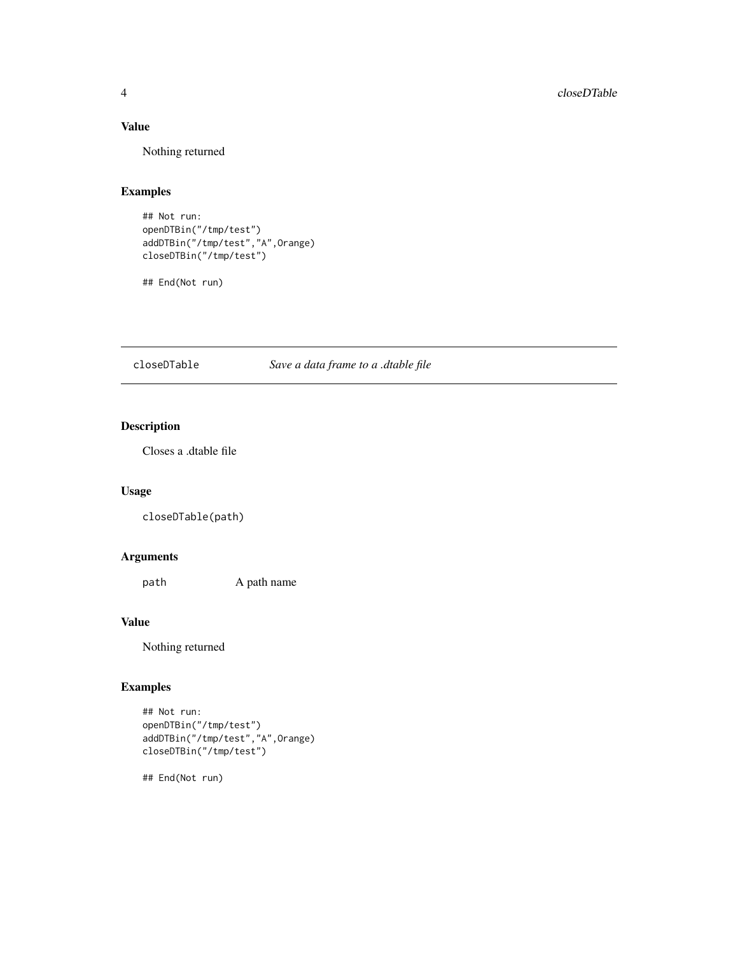## <span id="page-3-0"></span>Value

Nothing returned

## Examples

```
## Not run:
openDTBin("/tmp/test")
addDTBin("/tmp/test","A",Orange)
closeDTBin("/tmp/test")
```
## End(Not run)

closeDTable *Save a data frame to a .dtable file*

## Description

Closes a .dtable file

## Usage

closeDTable(path)

## Arguments

path A path name

#### Value

Nothing returned

## Examples

```
## Not run:
openDTBin("/tmp/test")
addDTBin("/tmp/test","A",Orange)
closeDTBin("/tmp/test")
```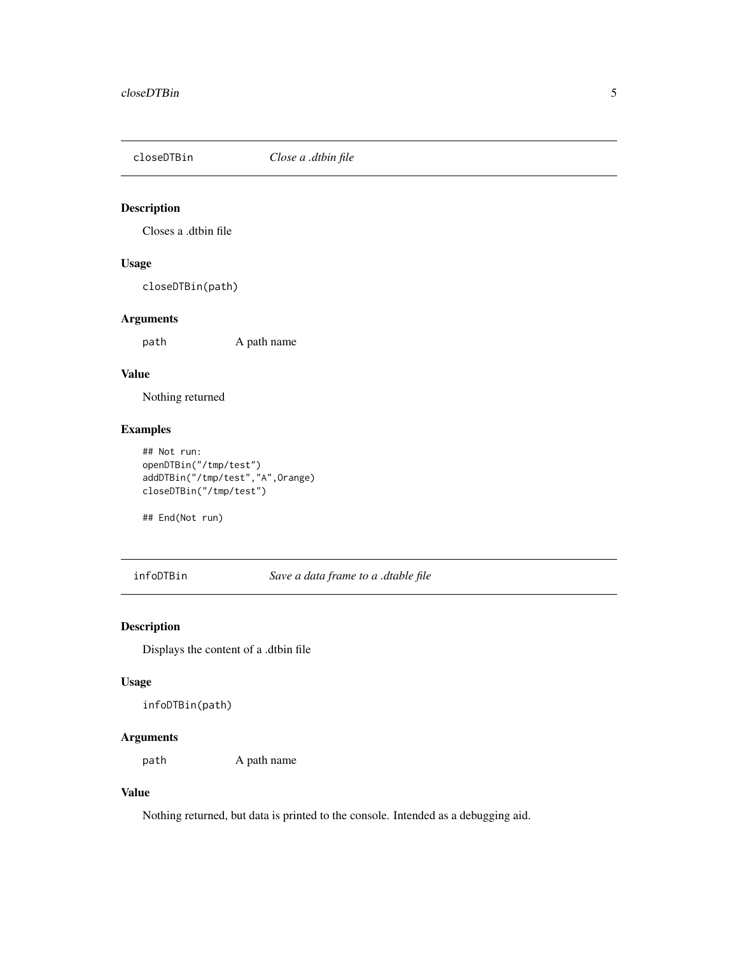<span id="page-4-0"></span>

Closes a .dtbin file

## Usage

closeDTBin(path)

## Arguments

path A path name

#### Value

Nothing returned

## Examples

## Not run: openDTBin("/tmp/test") addDTBin("/tmp/test","A",Orange) closeDTBin("/tmp/test")

## End(Not run)

infoDTBin *Save a data frame to a .dtable file*

## Description

Displays the content of a .dtbin file

#### Usage

infoDTBin(path)

## Arguments

path A path name

## Value

Nothing returned, but data is printed to the console. Intended as a debugging aid.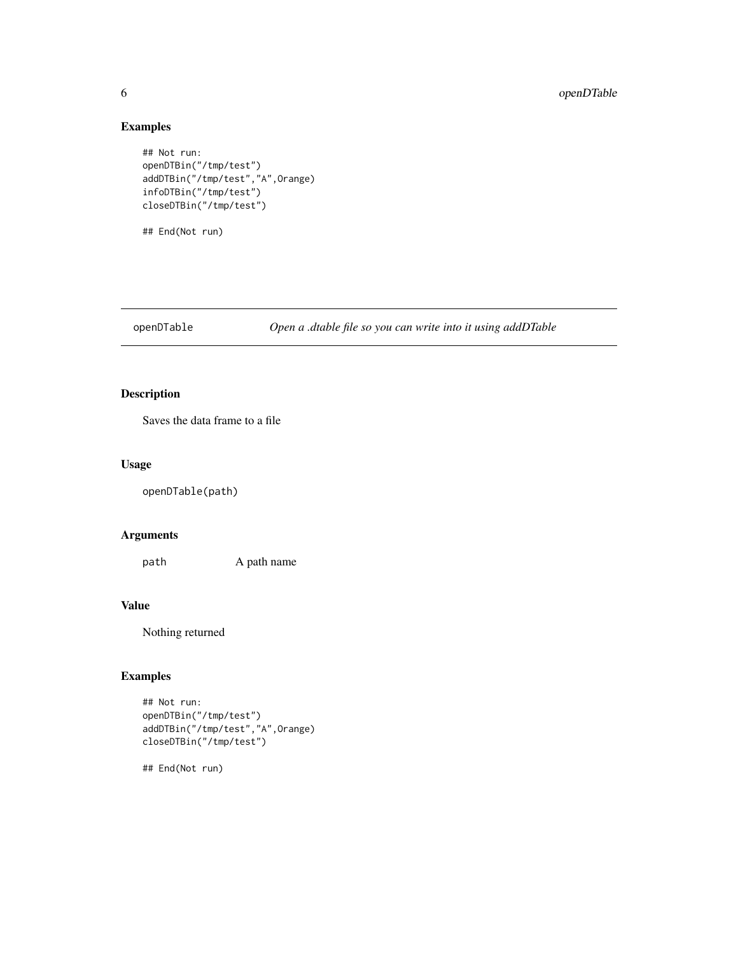## Examples

```
## Not run:
openDTBin("/tmp/test")
addDTBin("/tmp/test","A",Orange)
infoDTBin("/tmp/test")
closeDTBin("/tmp/test")
```
## End(Not run)

openDTable *Open a .dtable file so you can write into it using addDTable*

## Description

Saves the data frame to a file

#### Usage

openDTable(path)

## Arguments

path A path name

## Value

Nothing returned

## Examples

```
## Not run:
openDTBin("/tmp/test")
addDTBin("/tmp/test","A",Orange)
closeDTBin("/tmp/test")
```
<span id="page-5-0"></span>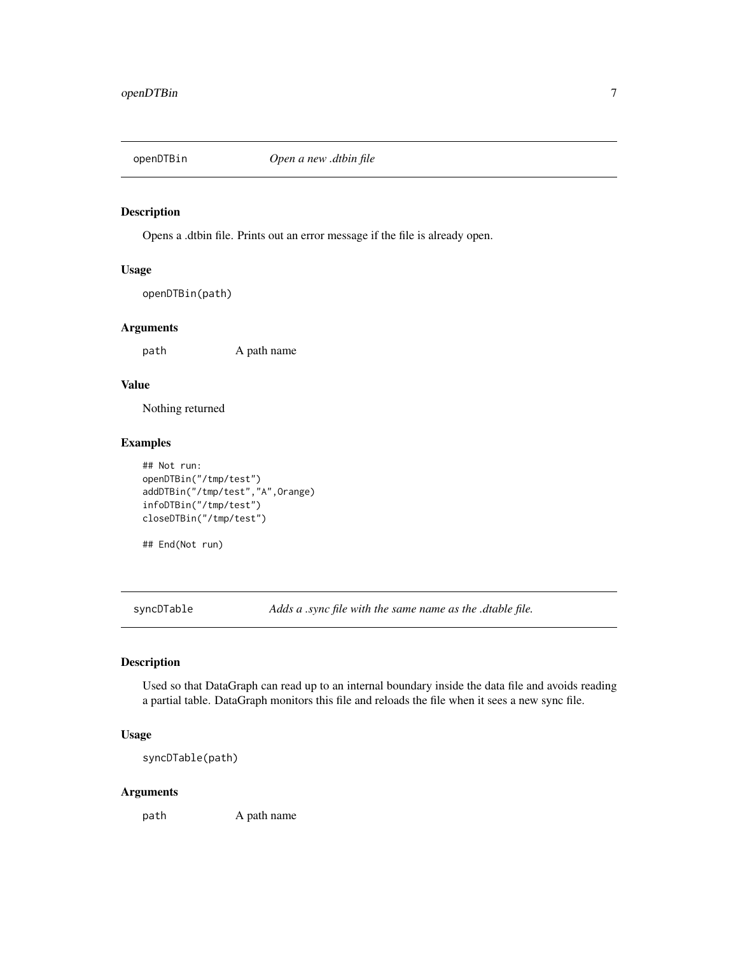<span id="page-6-0"></span>

Opens a .dtbin file. Prints out an error message if the file is already open.

#### Usage

openDTBin(path)

#### Arguments

path A path name

## Value

Nothing returned

## Examples

```
## Not run:
openDTBin("/tmp/test")
addDTBin("/tmp/test","A",Orange)
infoDTBin("/tmp/test")
closeDTBin("/tmp/test")
```
## End(Not run)

syncDTable *Adds a .sync file with the same name as the .dtable file.*

## Description

Used so that DataGraph can read up to an internal boundary inside the data file and avoids reading a partial table. DataGraph monitors this file and reloads the file when it sees a new sync file.

## Usage

syncDTable(path)

#### Arguments

path A path name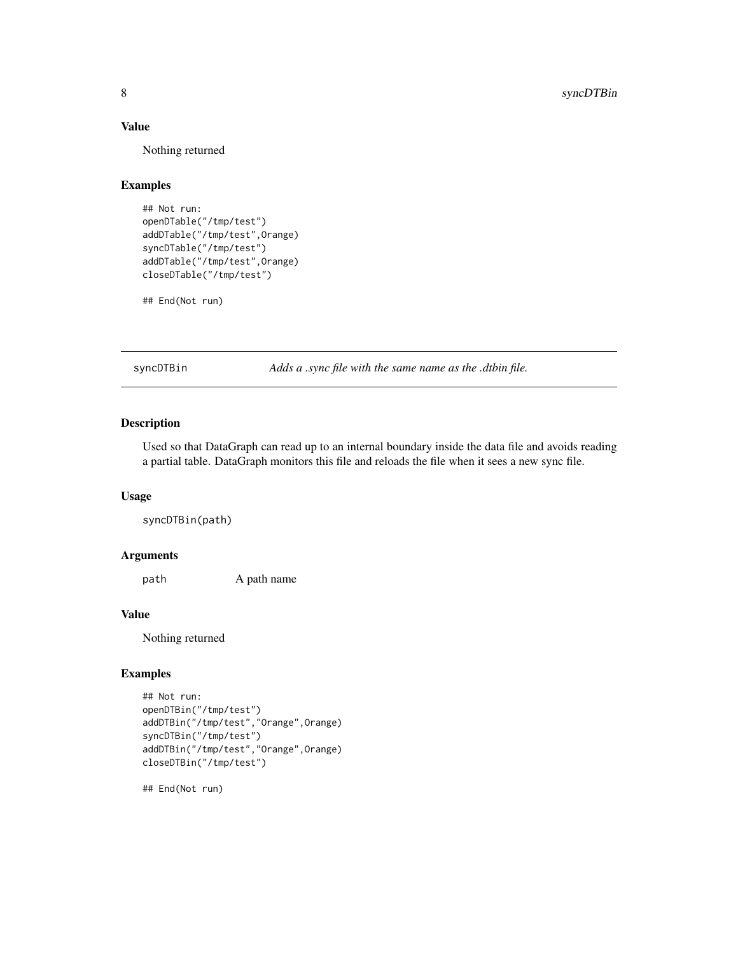#### <span id="page-7-0"></span>Value

Nothing returned

## Examples

```
## Not run:
openDTable("/tmp/test")
addDTable("/tmp/test",Orange)
syncDTable("/tmp/test")
addDTable("/tmp/test",Orange)
closeDTable("/tmp/test")
```
## End(Not run)

syncDTBin *Adds a .sync file with the same name as the .dtbin file.*

## Description

Used so that DataGraph can read up to an internal boundary inside the data file and avoids reading a partial table. DataGraph monitors this file and reloads the file when it sees a new sync file.

## Usage

syncDTBin(path)

## Arguments

path A path name

#### Value

Nothing returned

#### Examples

```
## Not run:
openDTBin("/tmp/test")
addDTBin("/tmp/test","Orange",Orange)
syncDTBin("/tmp/test")
addDTBin("/tmp/test","Orange",Orange)
closeDTBin("/tmp/test")
```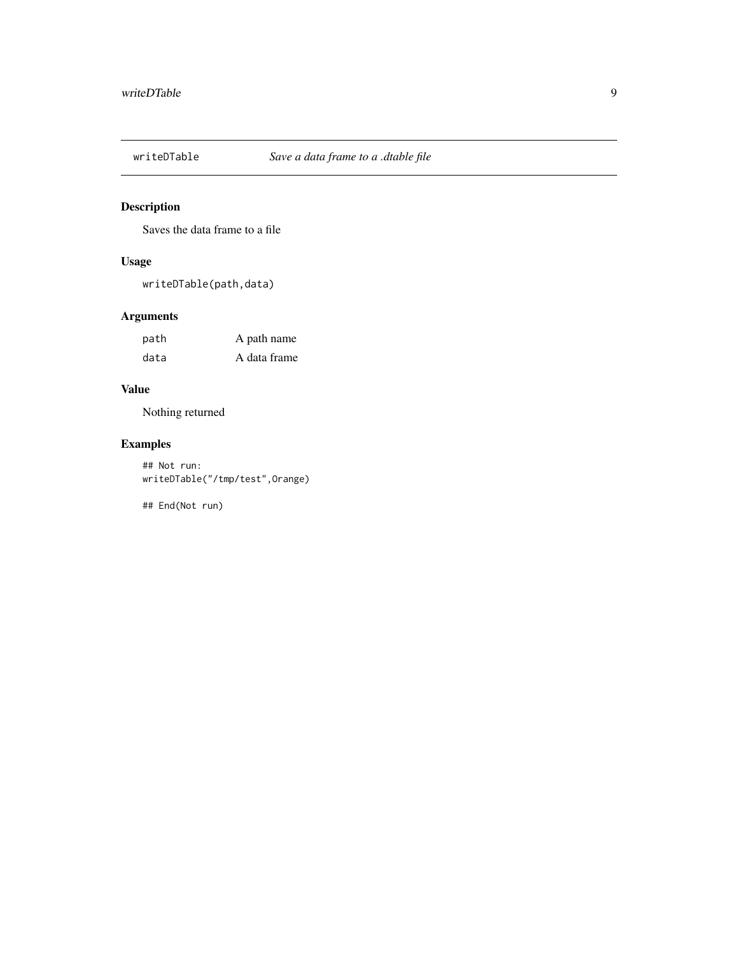<span id="page-8-0"></span>

Saves the data frame to a file

## Usage

writeDTable(path,data)

## Arguments

| path | A path name  |
|------|--------------|
| data | A data frame |

## Value

Nothing returned

## Examples

## Not run: writeDTable("/tmp/test",Orange)